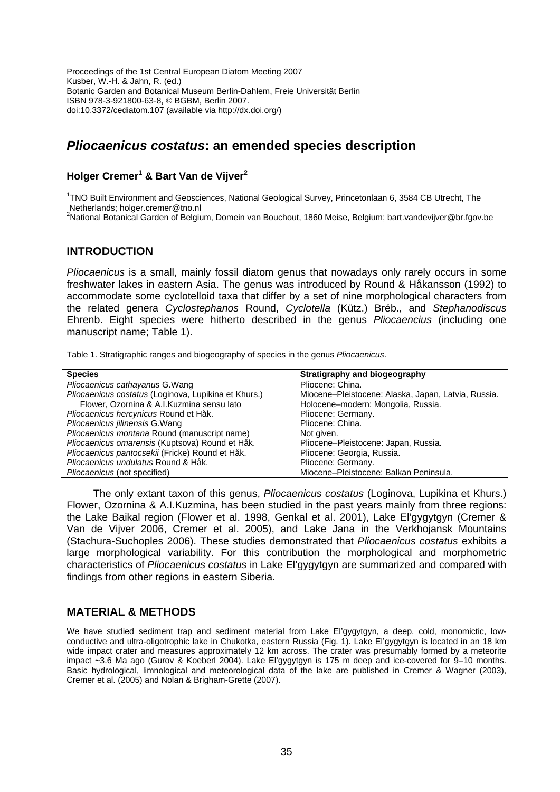Proceedings of the 1st Central European Diatom Meeting 2007 Kusber, W.-H. & Jahn, R. (ed.) Botanic Garden and Botanical Museum Berlin-Dahlem, Freie Universität Berlin ISBN 978-3-921800-63-8, © BGBM, Berlin 2007. doi:10.3372/cediatom.107 (available via http://dx.doi.org/)

# *Pliocaenicus costatus***: an emended species description**

### **Holger Cremer1 & Bart Van de Vijver2**

<sup>1</sup>TNO Built Environment and Geosciences, National Geological Survey, Princetonlaan 6, 3584 CB Utrecht, The Netherlands; holger.cremer@tno.nl

<sup>2</sup>National Botanical Garden of Belgium, Domein van Bouchout, 1860 Meise, Belgium; bart.vandevijver@br.fgov.be

### **INTRODUCTION**

*Pliocaenicus* is a small, mainly fossil diatom genus that nowadays only rarely occurs in some freshwater lakes in eastern Asia. The genus was introduced by Round & Håkansson (1992) to accommodate some cyclotelloid taxa that differ by a set of nine morphological characters from the related genera *Cyclostephanos* Round, *Cyclotella* (Kütz.) Bréb., and *Stephanodiscus* Ehrenb. Eight species were hitherto described in the genus *Pliocaencius* (including one manuscript name; Table 1).

Table 1. Stratigraphic ranges and biogeography of species in the genus *Pliocaenicus*.

| <b>Species</b>                                       | Stratigraphy and biogeography                       |
|------------------------------------------------------|-----------------------------------------------------|
| Pliocaenicus cathayanus G. Wang                      | Pliocene: China.                                    |
| Pliocaenicus costatus (Loginova, Lupikina et Khurs.) | Miocene-Pleistocene: Alaska, Japan, Latvia, Russia. |
| Flower, Ozornina & A.I.Kuzmina sensu lato            | Holocene-modern: Mongolia, Russia.                  |
| Pliocaenicus hercynicus Round et Håk.                | Pliocene: Germany.                                  |
| Pliocaenicus jilinensis G. Wang                      | Pliocene: China.                                    |
| Pliocaenicus montana Round (manuscript name)         | Not given.                                          |
| Pliocaenicus omarensis (Kuptsova) Round et Håk.      | Pliocene-Pleistocene: Japan, Russia.                |
| Pliocaenicus pantocsekii (Fricke) Round et Håk.      | Pliocene: Georgia, Russia.                          |
| Pliocaenicus undulatus Round & Håk.                  | Pliocene: Germany.                                  |
| Pliocaenicus (not specified)                         | Miocene-Pleistocene: Balkan Peninsula.              |

The only extant taxon of this genus, *Pliocaenicus costatus* (Loginova, Lupikina et Khurs.) Flower, Ozornina & A.I.Kuzmina, has been studied in the past years mainly from three regions: the Lake Baikal region (Flower et al. 1998, Genkal et al. 2001), Lake El'gygytgyn (Cremer & Van de Vijver 2006, Cremer et al. 2005), and Lake Jana in the Verkhojansk Mountains (Stachura-Suchoples 2006). These studies demonstrated that *Pliocaenicus costatus* exhibits a large morphological variability. For this contribution the morphological and morphometric characteristics of *Pliocaenicus costatus* in Lake El'gygytgyn are summarized and compared with findings from other regions in eastern Siberia.

#### **MATERIAL & METHODS**

We have studied sediment trap and sediment material from Lake El'gygytgyn, a deep, cold, monomictic, lowconductive and ultra-oligotrophic lake in Chukotka, eastern Russia (Fig. 1). Lake El'gygytgyn is located in an 18 km wide impact crater and measures approximately 12 km across. The crater was presumably formed by a meteorite impact ~3.6 Ma ago (Gurov & Koeberl 2004). Lake El'gygytgyn is 175 m deep and ice-covered for 9–10 months. Basic hydrological, limnological and meteorological data of the lake are published in Cremer & Wagner (2003), Cremer et al. (2005) and Nolan & Brigham-Grette (2007).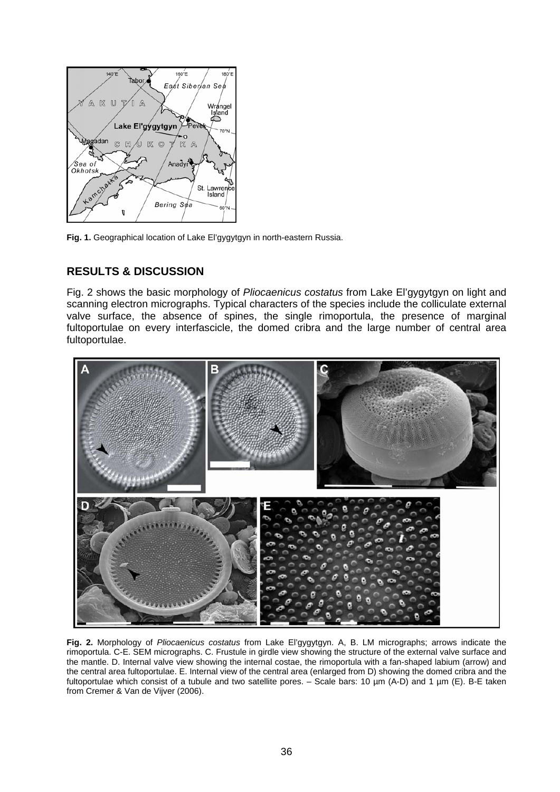

**Fig. 1.** Geographical location of Lake El'gygytgyn in north-eastern Russia.

## **RESULTS & DISCUSSION**

Fig. 2 shows the basic morphology of *Pliocaenicus costatus* from Lake El'gygytgyn on light and scanning electron micrographs. Typical characters of the species include the colliculate external valve surface, the absence of spines, the single rimoportula, the presence of marginal fultoportulae on every interfascicle, the domed cribra and the large number of central area fultoportulae.



**Fig. 2.** Morphology of *Pliocaenicus costatus* from Lake El'gygytgyn. A, B. LM micrographs; arrows indicate the rimoportula. C-E. SEM micrographs. C. Frustule in girdle view showing the structure of the external valve surface and the mantle. D. Internal valve view showing the internal costae, the rimoportula with a fan-shaped labium (arrow) and the central area fultoportulae. E. Internal view of the central area (enlarged from D) showing the domed cribra and the fultoportulae which consist of a tubule and two satellite pores. – Scale bars: 10 µm (A-D) and 1 µm (E). B-E taken from Cremer & Van de Vijver (2006).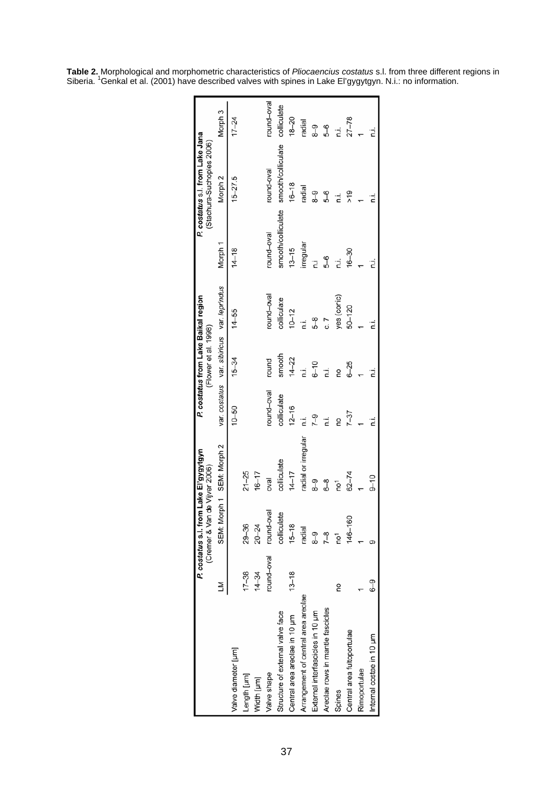|                                     |            | P. costatus s.l. from Lake El'gygytgyn |                           |             | P. costatus from Lake Baikal region |                                             |                    | P. costatus s.l. from Lake Jana |             |
|-------------------------------------|------------|----------------------------------------|---------------------------|-------------|-------------------------------------|---------------------------------------------|--------------------|---------------------------------|-------------|
|                                     |            | (Cremer & Van de Vijver 2006)          |                           |             | (Flower et al. 1998)                |                                             |                    | (Stachura-Suchoples 2006)       |             |
|                                     |            |                                        | SEM: Morph 1 SEM: Morph 2 |             |                                     | var. costatus var. sibiricus var. leprindus | Morph <sub>1</sub> | Morph <sub>2</sub>              | Morph 3     |
| Valve diameter [µm]                 |            |                                        |                           | $10 - 50$   | $15 - 34$                           | $14 - 55$                                   | $14 - 18$          | $15 - 27.5$                     | $17 - 24$   |
| Length [µm]                         | $17 - 38$  | $29 - 36$                              | $21 - 25$                 |             |                                     |                                             |                    |                                 |             |
| Width [µm]                          | $14 - 34$  | $20 - 24$                              | $16 - 17$                 |             |                                     |                                             |                    |                                 |             |
| Valve shape                         | round-oval | round-oval                             | levo                      | round-oval  | round                               | round-oval                                  | round-oval         | round-oval                      | round-oval  |
| Structure of external valve face    |            | colliculate                            | colliculate               | colliculate | smooth                              | colliculate                                 | smooth/colliculate | smooth/colliculate              | colliculate |
| Central area areolae in 10 µm       | $13 - 18$  | $15 - 18$                              | $14 - 17$                 | $12 - 16$   | $14 - 22$                           | $10 - 12$                                   | $13 - 15$          | $16 - 18$                       | $18 - 20$   |
| Arrangement of central area areolae |            | radial                                 | radial or irregular       | Ξ,          | .<br>ت                              | Ϊ.                                          | irregular          | radial                          | radial      |
| External interfascicles in 10 um    |            | ႐ွိ                                    | တု<br>ထ                   | $7 - 9$     | $6 - 10$                            | 58                                          |                    | ო<br>გ                          | ე<br>გ      |
| Areolae rows in mantle fascicles    |            | $7-8$                                  | စို                       | Ė           | Ϊ.                                  | c 7                                         | 8-9                | \$-8                            | <u>გ</u>    |
| Spines                              | S          | ē                                      | ē                         | g           | g                                   | yes (conic)                                 | Ϊ.                 | .<br>آ                          | Ϊ.          |
| Central area fultoportulae          |            | 146-160                                | $62 - 74$                 | $7 - 37$    | $6 - 25$                            | $50 - 120$                                  | $16 - 30$          | م<br>7                          | $27 - 78$   |
| Rimoportulae                        |            |                                        |                           |             |                                     |                                             |                    |                                 |             |
| Internal costae in 10 µm            | $6 - 9$    |                                        | $9 - 10$                  | 2           | ī.                                  |                                             |                    |                                 |             |

**Table 2.** Morphological and morphometric characteristics of *Pliocaencius costatus* s.l. from three different regions in Siberia. <sup>1</sup>Genkal et al. (2001) have described valves with spines in Lake El'gygytgyn. N.i.: no information.